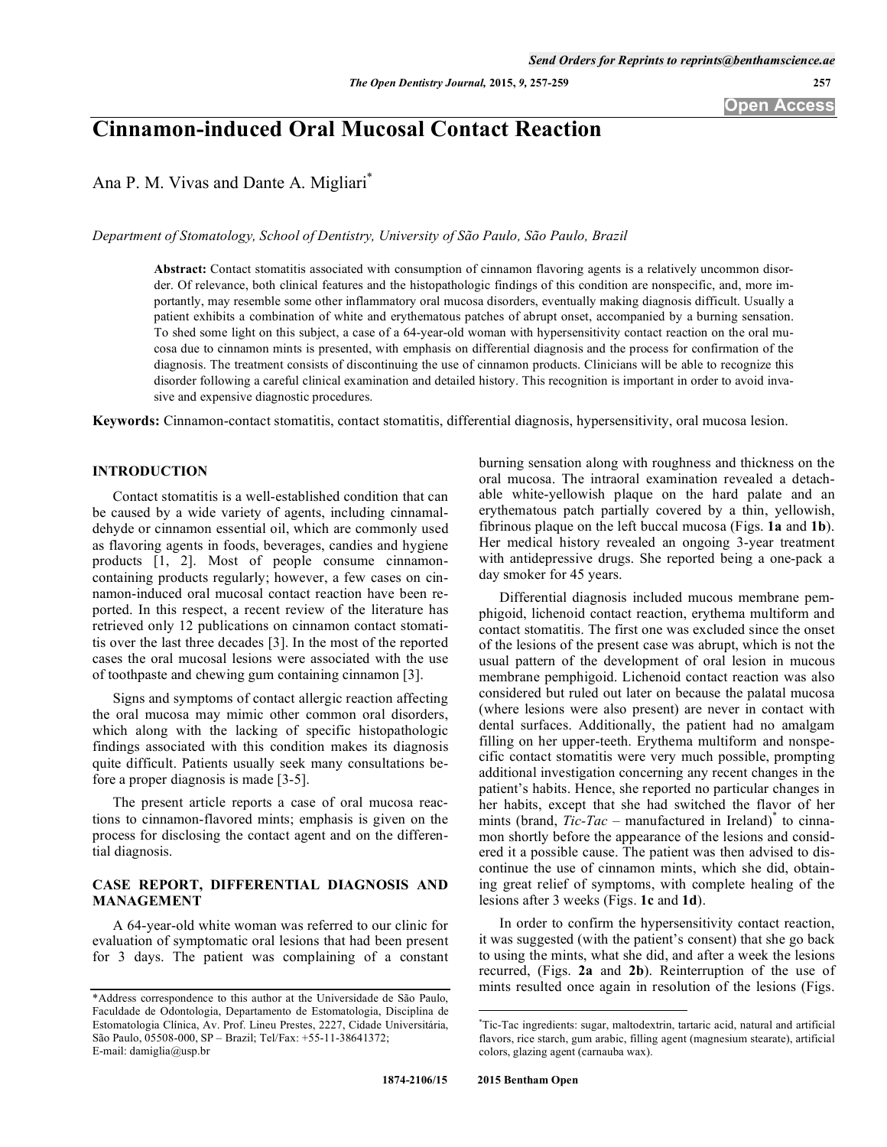# **Cinnamon-induced Oral Mucosal Contact Reaction**

Ana P. M. Vivas and Dante A. Migliari\*

*Department of Stomatology, School of Dentistry, University of São Paulo, São Paulo, Brazil*

**Abstract:** Contact stomatitis associated with consumption of cinnamon flavoring agents is a relatively uncommon disorder. Of relevance, both clinical features and the histopathologic findings of this condition are nonspecific, and, more importantly, may resemble some other inflammatory oral mucosa disorders, eventually making diagnosis difficult. Usually a patient exhibits a combination of white and erythematous patches of abrupt onset, accompanied by a burning sensation. To shed some light on this subject, a case of a 64-year-old woman with hypersensitivity contact reaction on the oral mucosa due to cinnamon mints is presented, with emphasis on differential diagnosis and the process for confirmation of the diagnosis. The treatment consists of discontinuing the use of cinnamon products. Clinicians will be able to recognize this disorder following a careful clinical examination and detailed history. This recognition is important in order to avoid invasive and expensive diagnostic procedures.

**Keywords:** Cinnamon-contact stomatitis, contact stomatitis, differential diagnosis, hypersensitivity, oral mucosa lesion.

## **INTRODUCTION**

Contact stomatitis is a well-established condition that can be caused by a wide variety of agents, including cinnamaldehyde or cinnamon essential oil, which are commonly used as flavoring agents in foods, beverages, candies and hygiene products [1, 2]. Most of people consume cinnamoncontaining products regularly; however, a few cases on cinnamon-induced oral mucosal contact reaction have been reported. In this respect, a recent review of the literature has retrieved only 12 publications on cinnamon contact stomatitis over the last three decades [3]. In the most of the reported cases the oral mucosal lesions were associated with the use of toothpaste and chewing gum containing cinnamon [3].

Signs and symptoms of contact allergic reaction affecting the oral mucosa may mimic other common oral disorders, which along with the lacking of specific histopathologic findings associated with this condition makes its diagnosis quite difficult. Patients usually seek many consultations before a proper diagnosis is made [3-5].

The present article reports a case of oral mucosa reactions to cinnamon-flavored mints; emphasis is given on the process for disclosing the contact agent and on the differential diagnosis.

# **CASE REPORT, DIFFERENTIAL DIAGNOSIS AND MANAGEMENT**

A 64-year-old white woman was referred to our clinic for evaluation of symptomatic oral lesions that had been present for 3 days. The patient was complaining of a constant burning sensation along with roughness and thickness on the oral mucosa. The intraoral examination revealed a detachable white-yellowish plaque on the hard palate and an erythematous patch partially covered by a thin, yellowish, fibrinous plaque on the left buccal mucosa (Figs. **1a** and **1b**). Her medical history revealed an ongoing 3-year treatment with antidepressive drugs. She reported being a one-pack a day smoker for 45 years.

Differential diagnosis included mucous membrane pemphigoid, lichenoid contact reaction, erythema multiform and contact stomatitis. The first one was excluded since the onset of the lesions of the present case was abrupt, which is not the usual pattern of the development of oral lesion in mucous membrane pemphigoid. Lichenoid contact reaction was also considered but ruled out later on because the palatal mucosa (where lesions were also present) are never in contact with dental surfaces. Additionally, the patient had no amalgam filling on her upper-teeth. Erythema multiform and nonspecific contact stomatitis were very much possible, prompting additional investigation concerning any recent changes in the patient's habits. Hence, she reported no particular changes in her habits, except that she had switched the flavor of her mints (brand, *Tic-Tac* – manufactured in Ireland)<sup>\*</sup> to cinnamon shortly before the appearance of the lesions and considered it a possible cause. The patient was then advised to discontinue the use of cinnamon mints, which she did, obtaining great relief of symptoms, with complete healing of the lesions after 3 weeks (Figs. **1c** and **1d**).

In order to confirm the hypersensitivity contact reaction, it was suggested (with the patient's consent) that she go back to using the mints, what she did, and after a week the lesions recurred, (Figs. **2a** and **2b**). Reinterruption of the use of mints resulted once again in resolution of the lesions (Figs.

<u>.</u>

<sup>\*</sup>Address correspondence to this author at the Universidade de São Paulo, Faculdade de Odontologia, Departamento de Estomatologia, Disciplina de Estomatologia Clínica, Av. Prof. Lineu Prestes, 2227, Cidade Universitária, São Paulo, 05508-000, SP – Brazil; Tel/Fax: +55-11-38641372; E-mail: damiglia@usp.br

<sup>\*</sup> Tic-Tac ingredients: sugar, maltodextrin, tartaric acid, natural and artificial flavors, rice starch, gum arabic, filling agent (magnesium stearate), artificial colors, glazing agent (carnauba wax).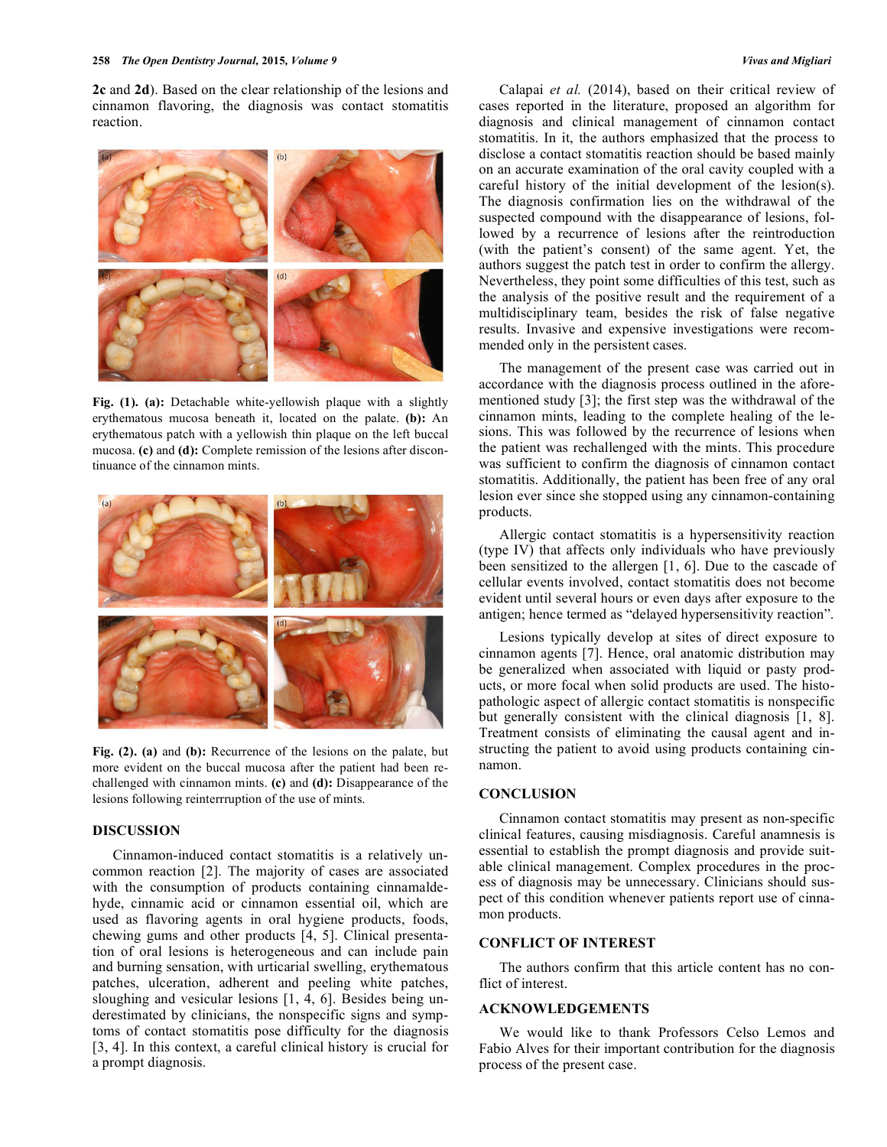**2c** and **2d**). Based on the clear relationship of the lesions and cinnamon flavoring, the diagnosis was contact stomatitis reaction.



**Fig. (1). (a):** Detachable white-yellowish plaque with a slightly erythematous mucosa beneath it, located on the palate. **(b):** An erythematous patch with a yellowish thin plaque on the left buccal mucosa. **(c)** and **(d):** Complete remission of the lesions after discontinuance of the cinnamon mints.



**Fig. (2). (a)** and **(b):** Recurrence of the lesions on the palate, but more evident on the buccal mucosa after the patient had been rechallenged with cinnamon mints. **(c)** and **(d):** Disappearance of the lesions following reinterrruption of the use of mints.

### **DISCUSSION**

Cinnamon-induced contact stomatitis is a relatively uncommon reaction [2]. The majority of cases are associated with the consumption of products containing cinnamaldehyde, cinnamic acid or cinnamon essential oil, which are used as flavoring agents in oral hygiene products, foods, chewing gums and other products [4, 5]. Clinical presentation of oral lesions is heterogeneous and can include pain and burning sensation, with urticarial swelling, erythematous patches, ulceration, adherent and peeling white patches, sloughing and vesicular lesions [1, 4, 6]. Besides being underestimated by clinicians, the nonspecific signs and symptoms of contact stomatitis pose difficulty for the diagnosis [3, 4]. In this context, a careful clinical history is crucial for a prompt diagnosis.

Calapai *et al.* (2014), based on their critical review of cases reported in the literature, proposed an algorithm for diagnosis and clinical management of cinnamon contact stomatitis. In it, the authors emphasized that the process to disclose a contact stomatitis reaction should be based mainly on an accurate examination of the oral cavity coupled with a careful history of the initial development of the lesion(s). The diagnosis confirmation lies on the withdrawal of the suspected compound with the disappearance of lesions, followed by a recurrence of lesions after the reintroduction (with the patient's consent) of the same agent. Yet, the authors suggest the patch test in order to confirm the allergy. Nevertheless, they point some difficulties of this test, such as the analysis of the positive result and the requirement of a multidisciplinary team, besides the risk of false negative results. Invasive and expensive investigations were recommended only in the persistent cases.

The management of the present case was carried out in accordance with the diagnosis process outlined in the aforementioned study [3]; the first step was the withdrawal of the cinnamon mints, leading to the complete healing of the lesions. This was followed by the recurrence of lesions when the patient was rechallenged with the mints. This procedure was sufficient to confirm the diagnosis of cinnamon contact stomatitis. Additionally, the patient has been free of any oral lesion ever since she stopped using any cinnamon-containing products.

Allergic contact stomatitis is a hypersensitivity reaction (type IV) that affects only individuals who have previously been sensitized to the allergen [1, 6]. Due to the cascade of cellular events involved, contact stomatitis does not become evident until several hours or even days after exposure to the antigen; hence termed as "delayed hypersensitivity reaction".

Lesions typically develop at sites of direct exposure to cinnamon agents [7]. Hence, oral anatomic distribution may be generalized when associated with liquid or pasty products, or more focal when solid products are used. The histopathologic aspect of allergic contact stomatitis is nonspecific but generally consistent with the clinical diagnosis [1, 8]. Treatment consists of eliminating the causal agent and instructing the patient to avoid using products containing cinnamon.

#### **CONCLUSION**

Cinnamon contact stomatitis may present as non-specific clinical features, causing misdiagnosis. Careful anamnesis is essential to establish the prompt diagnosis and provide suitable clinical management. Complex procedures in the process of diagnosis may be unnecessary. Clinicians should suspect of this condition whenever patients report use of cinnamon products.

#### **CONFLICT OF INTEREST**

The authors confirm that this article content has no conflict of interest.

#### **ACKNOWLEDGEMENTS**

We would like to thank Professors Celso Lemos and Fabio Alves for their important contribution for the diagnosis process of the present case.